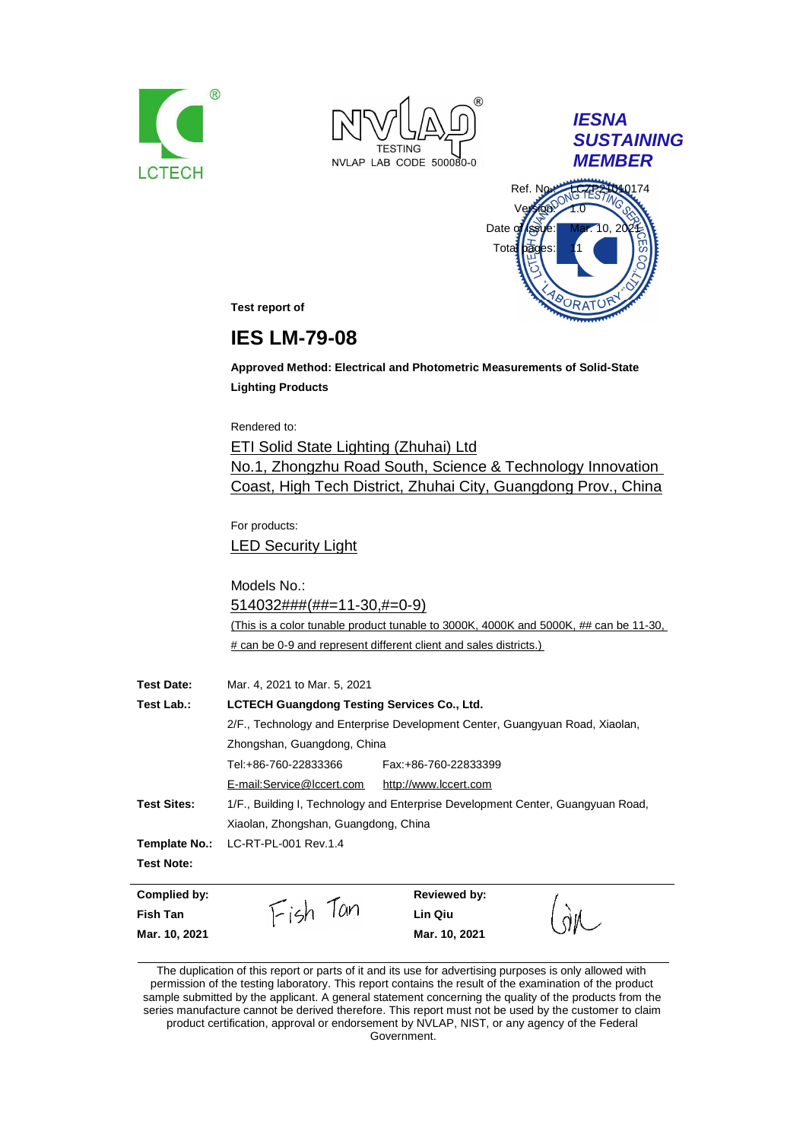



*IESNA SUSTAINING MEMBER*



**Test report of**

# **IES LM-79-08**

**Approved Method: Electrical and Photometric Measurements of Solid-State Lighting Products**

Rendered to:

ETI Solid State Lighting (Zhuhai) Ltd No.1, Zhongzhu Road South, Science & Technology Innovation Coast, High Tech District, Zhuhai City, Guangdong Prov., China

For products: LED Security Light

Models No.: 514032###(##=11-30,#=0-9) (This is a color tunable product tunable to 3000K, 4000K and 5000K, ## can be 11-30, # can be 0-9 and represent different client and sales districts.)

| <b>Test Date:</b>  | Mar. 4, 2021 to Mar. 5, 2021                                                 |                                                                                 |  |
|--------------------|------------------------------------------------------------------------------|---------------------------------------------------------------------------------|--|
| Test Lab.:         | <b>LCTECH Guangdong Testing Services Co., Ltd.</b>                           |                                                                                 |  |
|                    | 2/F., Technology and Enterprise Development Center, Guangyuan Road, Xiaolan, |                                                                                 |  |
|                    | Zhongshan, Guangdong, China                                                  |                                                                                 |  |
|                    | Tel:+86-760-22833366                                                         | Fax: +86-760-22833399                                                           |  |
|                    | E-mail:Service@lccert.com                                                    | http://www.lccert.com                                                           |  |
| <b>Test Sites:</b> |                                                                              | 1/F., Building I, Technology and Enterprise Development Center, Guangyuan Road, |  |
|                    | Xiaolan, Zhongshan, Guangdong, China                                         |                                                                                 |  |
|                    | Template No.: LC-RT-PL-001 Rev.1.4                                           |                                                                                 |  |
| <b>Test Note:</b>  |                                                                              |                                                                                 |  |

| Complied by:    |                | Reviewed by:  |    |
|-----------------|----------------|---------------|----|
| <b>Fish Tan</b> | $I-15h$<br>lan | Lin Qiu       | ŃИ |
| Mar. 10, 2021   |                | Mar. 10, 2021 |    |

The duplication of this report or parts of it and its use for advertising purposes is only allowed with permission of the testing laboratory. This report contains the result of the examination of the product sample submitted by the applicant. A general statement concerning the quality of the products from the series manufacture cannot be derived therefore. This report must not be used by the customer to claim product certification, approval or endorsement by NVLAP, NIST, or any agency of the Federal Government.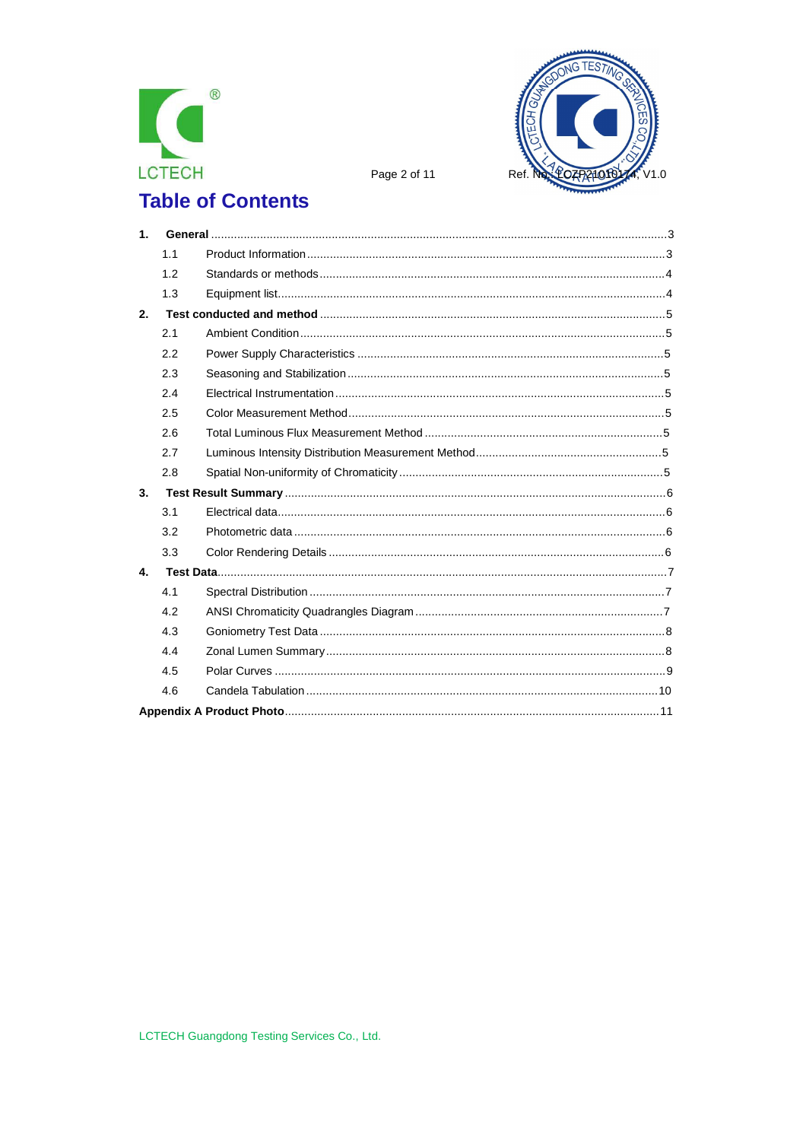



Page 2 of 11

# **Table of Contents**

| 1 <sub>1</sub> |     |  |
|----------------|-----|--|
|                | 1.1 |  |
|                | 1.2 |  |
|                | 1.3 |  |
| 2.             |     |  |
|                | 2.1 |  |
|                | 2.2 |  |
|                | 2.3 |  |
|                | 2.4 |  |
|                | 2.5 |  |
|                | 2.6 |  |
|                | 2.7 |  |
|                | 2.8 |  |
| 3.             |     |  |
|                | 3.1 |  |
|                | 3.2 |  |
|                | 3.3 |  |
| 4.             |     |  |
|                | 4.1 |  |
|                | 4.2 |  |
|                | 4.3 |  |
|                | 4.4 |  |
|                | 4.5 |  |
|                | 4.6 |  |
|                |     |  |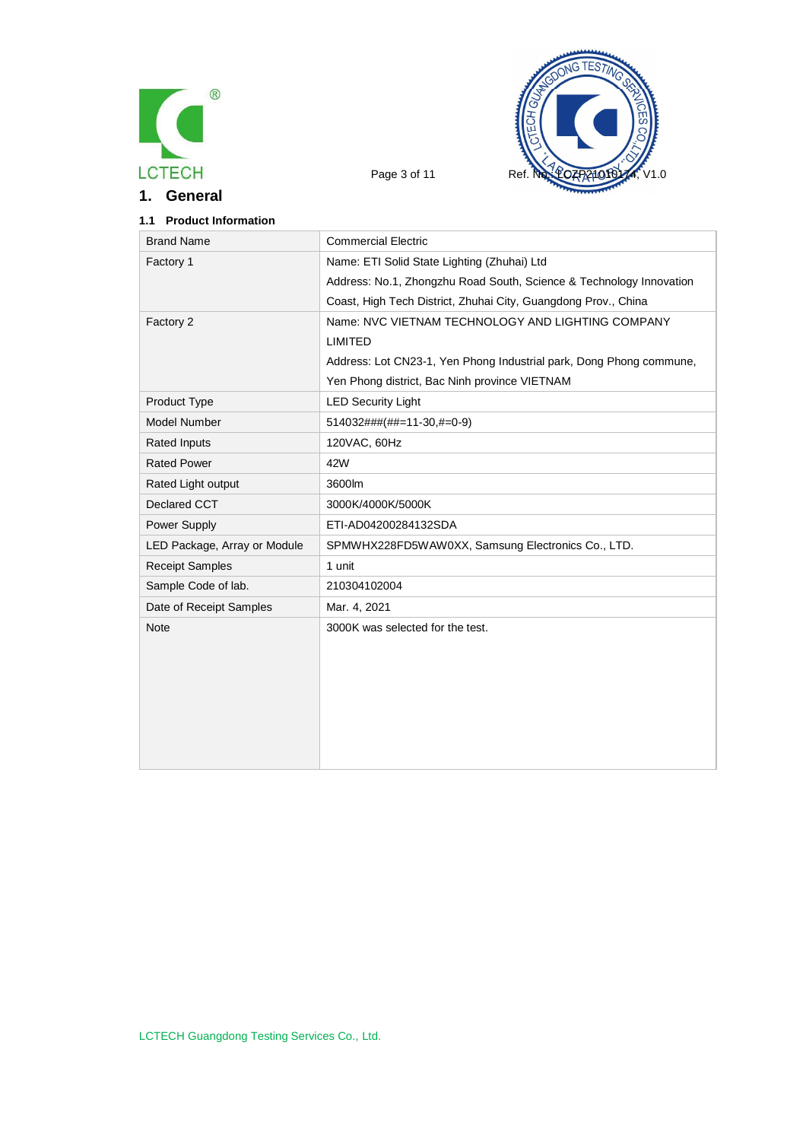

**1. General**



# **1.1 Product Information**

| <b>Brand Name</b>            | <b>Commercial Electric</b>                                          |
|------------------------------|---------------------------------------------------------------------|
| Factory 1                    | Name: ETI Solid State Lighting (Zhuhai) Ltd                         |
|                              | Address: No.1, Zhongzhu Road South, Science & Technology Innovation |
|                              | Coast, High Tech District, Zhuhai City, Guangdong Prov., China      |
| Factory 2                    | Name: NVC VIETNAM TECHNOLOGY AND LIGHTING COMPANY                   |
|                              | <b>LIMITED</b>                                                      |
|                              | Address: Lot CN23-1, Yen Phong Industrial park, Dong Phong commune, |
|                              | Yen Phong district, Bac Ninh province VIETNAM                       |
| Product Type                 | <b>LED Security Light</b>                                           |
| <b>Model Number</b>          | 514032###(##=11-30,#=0-9)                                           |
| <b>Rated Inputs</b>          | 120VAC, 60Hz                                                        |
| <b>Rated Power</b>           | 42W                                                                 |
| Rated Light output           | 3600lm                                                              |
| Declared CCT                 | 3000K/4000K/5000K                                                   |
| Power Supply                 | ETI-AD04200284132SDA                                                |
| LED Package, Array or Module | SPMWHX228FD5WAW0XX, Samsung Electronics Co., LTD.                   |
| <b>Receipt Samples</b>       | 1 unit                                                              |
| Sample Code of lab.          | 210304102004                                                        |
| Date of Receipt Samples      | Mar. 4, 2021                                                        |
| Note                         | 3000K was selected for the test.                                    |
|                              |                                                                     |
|                              |                                                                     |
|                              |                                                                     |
|                              |                                                                     |
|                              |                                                                     |
|                              |                                                                     |
|                              |                                                                     |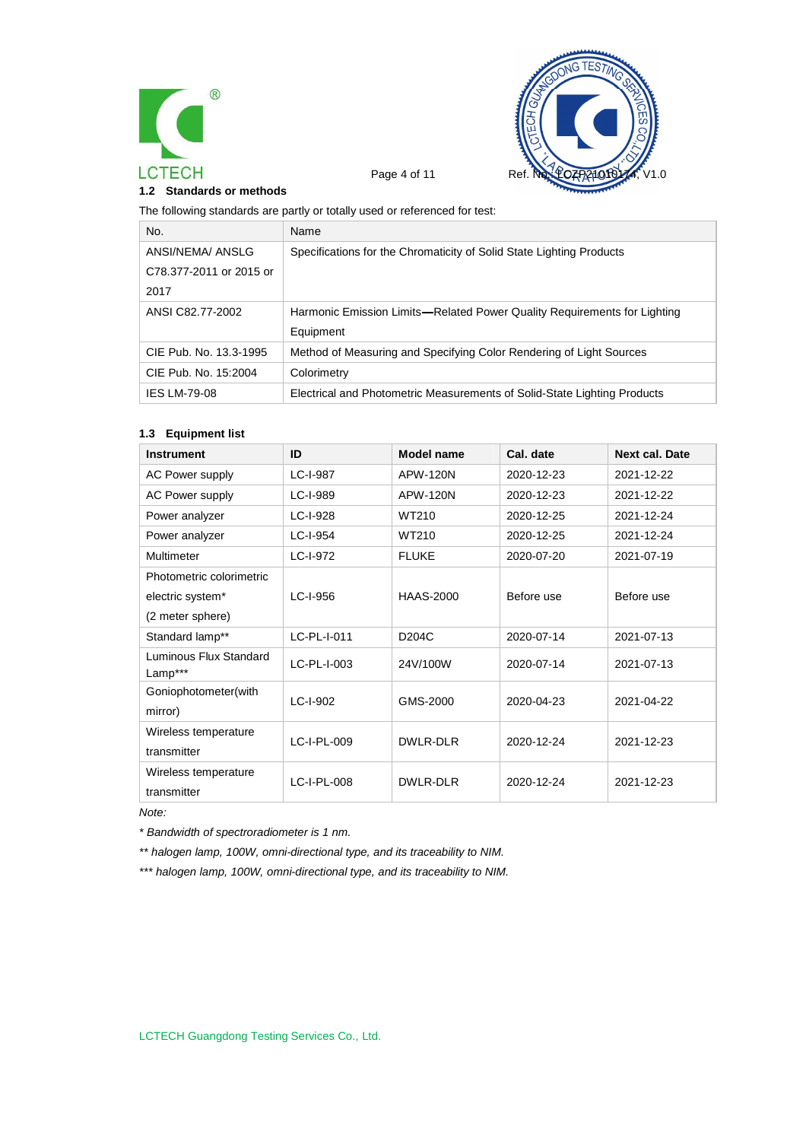



**1.2 Standards or methods**

The following standards are partly or totally used or referenced for test:

| No.                     | Name                                                                     |
|-------------------------|--------------------------------------------------------------------------|
| ANSI/NEMA/ ANSLG        | Specifications for the Chromaticity of Solid State Lighting Products     |
| C78.377-2011 or 2015 or |                                                                          |
| 2017                    |                                                                          |
| ANSI C82.77-2002        | Harmonic Emission Limits—Related Power Quality Requirements for Lighting |
|                         | Equipment                                                                |
| CIE Pub. No. 13.3-1995  | Method of Measuring and Specifying Color Rendering of Light Sources      |
| CIE Pub. No. 15:2004    | Colorimetry                                                              |
| <b>IES LM-79-08</b>     | Electrical and Photometric Measurements of Solid-State Lighting Products |

#### **1.3 Equipment list**

| <b>Instrument</b>                 | ID          | Model name         | Cal. date  | <b>Next cal. Date</b> |
|-----------------------------------|-------------|--------------------|------------|-----------------------|
| <b>AC Power supply</b>            | LC-I-987    | APW-120N           | 2020-12-23 | 2021-12-22            |
| <b>AC Power supply</b>            | LC-I-989    | <b>APW-120N</b>    | 2020-12-23 | 2021-12-22            |
| Power analyzer                    | LC-I-928    | WT210              | 2020-12-25 | 2021-12-24            |
| Power analyzer                    | LC-I-954    | WT210              | 2020-12-25 | 2021-12-24            |
| Multimeter                        | LC-I-972    | <b>FLUKE</b>       | 2020-07-20 | 2021-07-19            |
| Photometric colorimetric          |             |                    |            |                       |
| electric system*                  | LC-I-956    | <b>HAAS-2000</b>   | Before use | Before use            |
| (2 meter sphere)                  |             |                    |            |                       |
| Standard lamp**                   | LC-PL-I-011 | D <sub>204</sub> C | 2020-07-14 | 2021-07-13            |
| Luminous Flux Standard<br>Lamp*** | LC-PL-I-003 | 24V/100W           | 2020-07-14 | 2021-07-13            |
| Goniophotometer(with              | LC-I-902    | GMS-2000           | 2020-04-23 | 2021-04-22            |
| mirror)                           |             |                    |            |                       |
| Wireless temperature              | LC-I-PL-009 | DWLR-DLR           | 2020-12-24 | 2021-12-23            |
| transmitter                       |             |                    |            |                       |
| Wireless temperature              | LC-I-PL-008 | DWLR-DLR           | 2020-12-24 | 2021-12-23            |
| transmitter                       |             |                    |            |                       |

*Note:*

*\* Bandwidth of spectroradiometer is 1 nm.*

*\*\* halogen lamp, 100W, omni-directional type, and its traceability to NIM.*

*\*\*\* halogen lamp, 100W, omni-directional type, and its traceability to NIM.*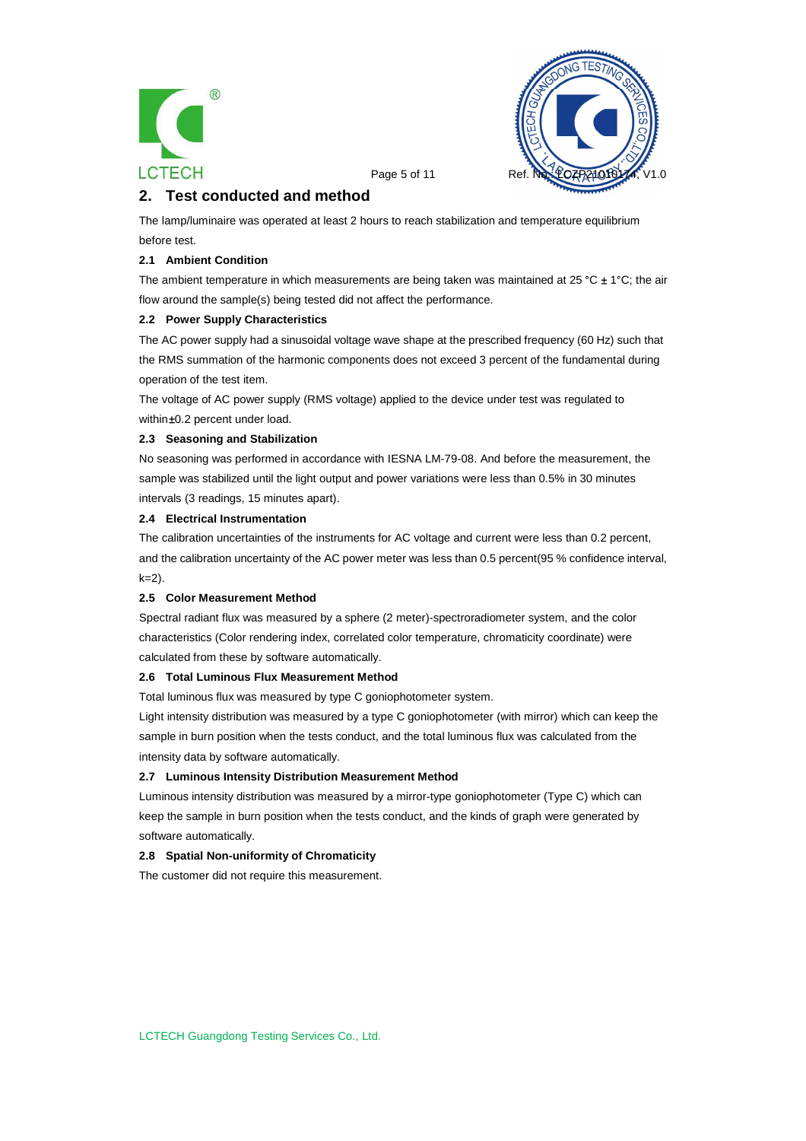



Page 5 of 11

# **2. Test conducted and method**

The lamp/luminaire was operated at least 2 hours to reach stabilization and temperature equilibrium before test.

#### **2.1 Ambient Condition**

The ambient temperature in which measurements are being taken was maintained at 25 °C  $\pm$  1°C; the air flow around the sample(s) being tested did not affect the performance.

#### **2.2 Power Supply Characteristics**

The AC power supply had a sinusoidal voltage wave shape at the prescribed frequency (60 Hz) such that the RMS summation of the harmonic components does not exceed 3 percent of the fundamental during operation of the test item.

The voltage of AC power supply (RMS voltage) applied to the device under test was regulated to within ±0.2 percent under load.

#### **2.3 Seasoning and Stabilization**

No seasoning was performed in accordance with IESNA LM-79-08. And before the measurement, the sample was stabilized until the light output and power variations were less than 0.5% in 30 minutes intervals (3 readings, 15 minutes apart).

#### **2.4 Electrical Instrumentation**

The calibration uncertainties of the instruments for AC voltage and current were less than 0.2 percent, and the calibration uncertainty of the AC power meter was less than 0.5 percent(95 % confidence interval, k=2).

#### **2.5 Color Measurement Method**

Spectral radiant flux was measured by a sphere (2 meter)-spectroradiometer system, and the color characteristics (Color rendering index, correlated color temperature, chromaticity coordinate) were calculated from these by software automatically.

#### **2.6 Total Luminous Flux Measurement Method**

Total luminous flux was measured by type C goniophotometer system.

Light intensity distribution was measured by a type C goniophotometer (with mirror) which can keep the sample in burn position when the tests conduct, and the total luminous flux was calculated from the intensity data by software automatically.

#### **2.7 Luminous Intensity Distribution Measurement Method**

Luminous intensity distribution was measured by a mirror-type goniophotometer (Type C) which can keep the sample in burn position when the tests conduct, and the kinds of graph were generated by software automatically.

#### **2.8 Spatial Non-uniformity of Chromaticity**

The customer did not require this measurement.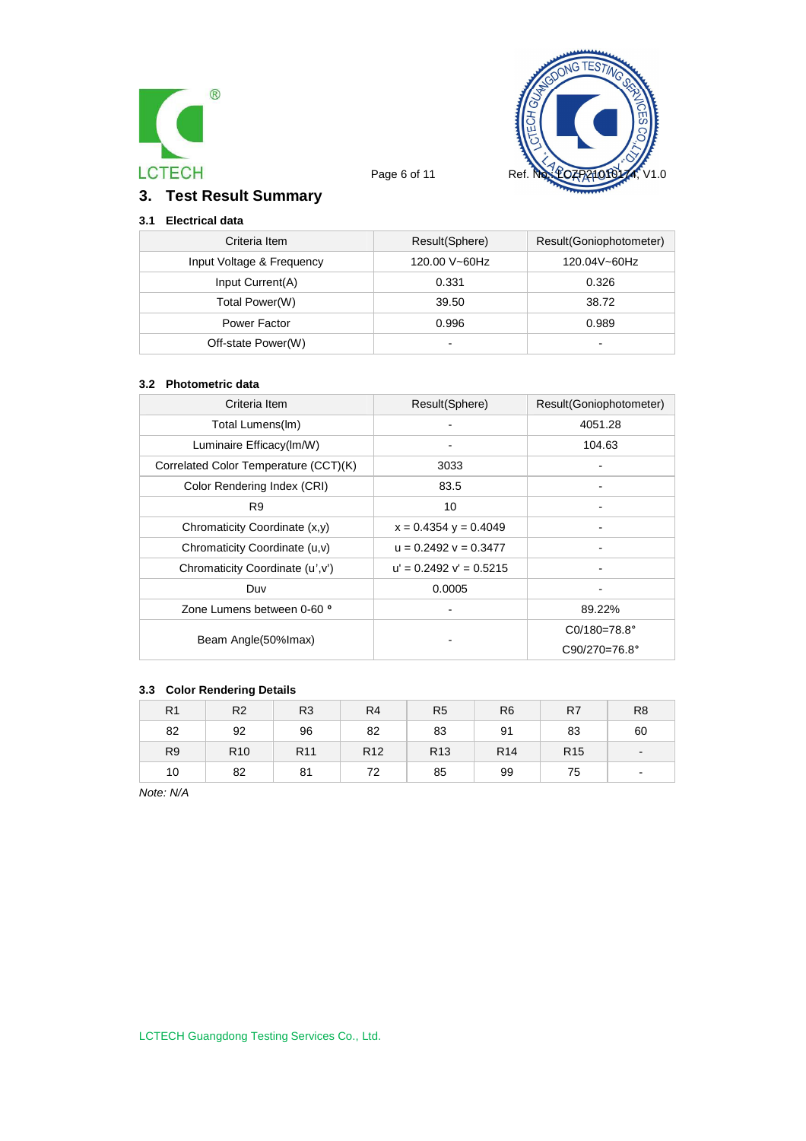



# **3. Test Result Summary**

## **3.1 Electrical data**

| Criteria Item             | Result(Sphere)           | Result(Goniophotometer) |
|---------------------------|--------------------------|-------------------------|
| Input Voltage & Frequency | 120.00 V~60Hz            | 120.04V~60Hz            |
| Input Current(A)          | 0.331                    | 0.326                   |
| Total Power(W)            | 39.50                    | 38.72                   |
| Power Factor              | 0.996                    | 0.989                   |
| Off-state Power(W)        | $\overline{\phantom{0}}$ | -                       |

#### **3.2 Photometric data**

| Criteria Item                         | Result(Sphere)              | Result(Goniophotometer) |
|---------------------------------------|-----------------------------|-------------------------|
| Total Lumens(Im)                      |                             | 4051.28                 |
| Luminaire Efficacy(Im/W)              |                             | 104.63                  |
| Correlated Color Temperature (CCT)(K) | 3033                        |                         |
| Color Rendering Index (CRI)           | 83.5                        |                         |
| R <sub>9</sub>                        | 10                          |                         |
| Chromaticity Coordinate (x,y)         | $x = 0.4354$ y = 0.4049     |                         |
| Chromaticity Coordinate (u,v)         | $u = 0.2492$ $v = 0.3477$   |                         |
| Chromaticity Coordinate (u',v')       | $u' = 0.2492$ $v' = 0.5215$ |                         |
| Duv                                   | 0.0005                      |                         |
| Zone Lumens between 0-60 °            |                             | 89.22%                  |
|                                       |                             | $CO/180 = 78.8^{\circ}$ |
| Beam Angle(50% Imax)                  |                             | $C90/270=76.8^{\circ}$  |

### **3.3 Color Rendering Details**

| R <sub>1</sub> | R <sub>2</sub>  | R <sub>3</sub>  | R <sub>4</sub>  | R <sub>5</sub>  | R <sub>6</sub>  | R7              | R <sub>8</sub>           |
|----------------|-----------------|-----------------|-----------------|-----------------|-----------------|-----------------|--------------------------|
| 82             | 92              | 96              | 82              | 83              | 91              | 83              | 60                       |
| R <sub>9</sub> | R <sub>10</sub> | R <sub>11</sub> | R <sub>12</sub> | R <sub>13</sub> | R <sub>14</sub> | R <sub>15</sub> |                          |
| 10             | 82              | 81              | 72              | 85              | 99              | 75              | $\overline{\phantom{a}}$ |

*Note: N/A*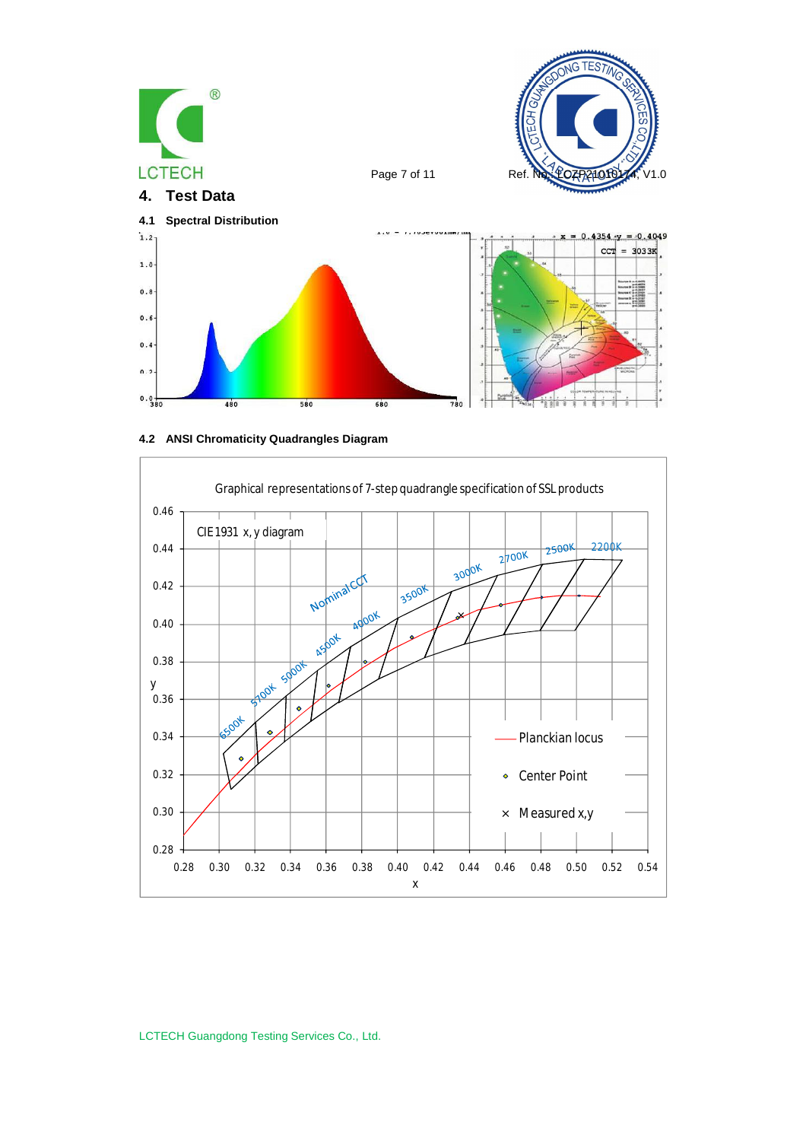





LCTECH Guangdong Testing Services Co., Ltd.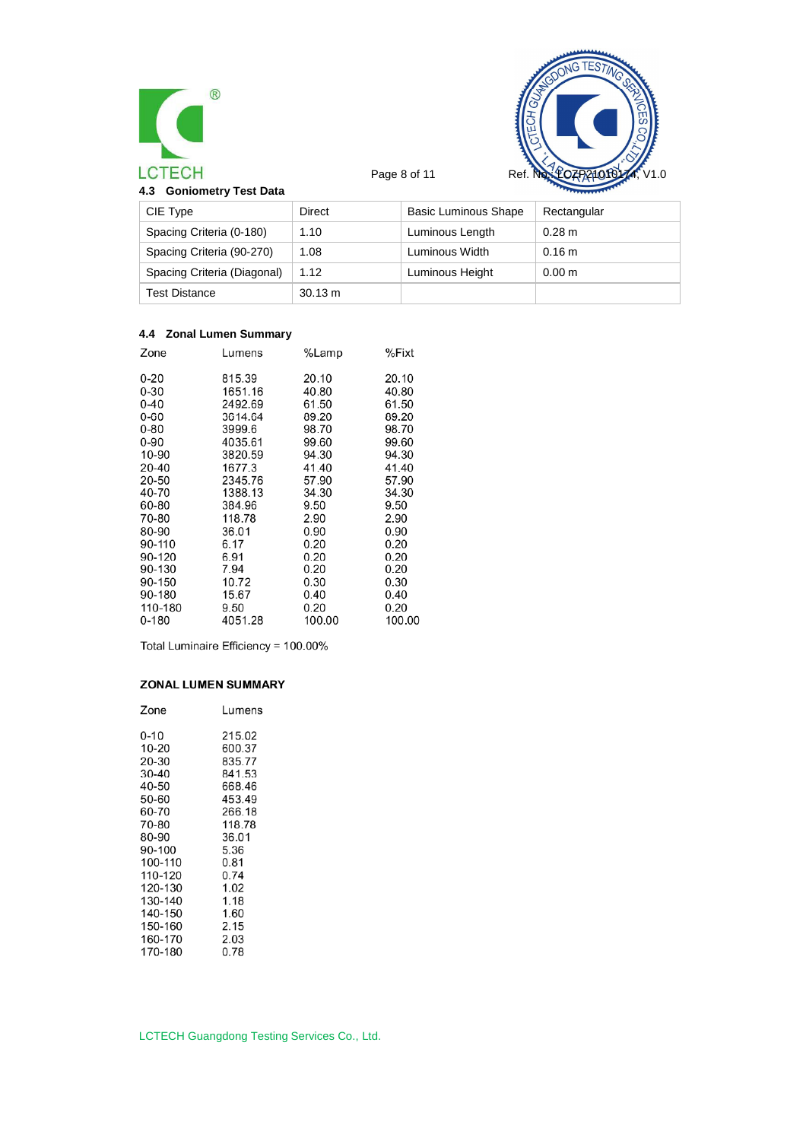



| <b>Goniometry Test Data</b><br>4.3 |         |                      | <b>CONTRACTORY</b> |
|------------------------------------|---------|----------------------|--------------------|
| CIE Type                           | Direct  | Basic Luminous Shape | Rectangular        |
| Spacing Criteria (0-180)           | 1.10    | Luminous Length      | $0.28 \text{ m}$   |
| Spacing Criteria (90-270)          | 1.08    | Luminous Width       | 0.16 m             |
| Spacing Criteria (Diagonal)        | 1.12    | Luminous Height      | 0.00 <sub>m</sub>  |
| Test Distance                      | 30.13 m |                      |                    |

### **4.4 Zonal Lumen Summary**

| Zone      | Lumens  | %Lamp  | %Fixt  |
|-----------|---------|--------|--------|
| $0 - 20$  | 815.39  | 20.10  | 20.10  |
| $0 - 30$  | 1651.16 | 40.80  | 40.80  |
| $0 - 40$  | 2492.69 | 61.50  | 61.50  |
| $0 - 60$  | 3614.64 | 89.20  | 89.20  |
| $0 - 80$  | 3999.6  | 98.70  | 98.70  |
| $0 - 90$  | 4035.61 | 99.60  | 99.60  |
| 10-90     | 3820.59 | 94.30  | 94.30  |
| 20-40     | 1677.3  | 41.40  | 41.40  |
| 20-50     | 2345.76 | 57.90  | 57.90  |
| 40-70     | 1388.13 | 34.30  | 34.30  |
| 60-80     | 384.96  | 9.50   | 9.50   |
| 70-80     | 118.78  | 2.90   | 2.90   |
| 80-90     | 36.01   | 0.90   | 0.90   |
| 90-110    | 6.17    | 0.20   | 0.20   |
| 90-120    | 6.91    | 0.20   | 0.20   |
| 90-130    | 7.94    | 0.20   | 0.20   |
| 90-150    | 10.72   | 0.30   | 0.30   |
| 90-180    | 15.67   | 0.40   | 0.40   |
| 110-180   | 9.50    | 0.20   | 0.20   |
| $0 - 180$ | 4051.28 | 100.00 | 100.00 |
|           |         |        |        |

Total Luminaire Efficiency = 100.00%

### ZONAL LUMEN SUMMARY

| Zone     | Lumens |
|----------|--------|
| $0 - 10$ | 215.02 |
| 10-20    | 600.37 |
| 20-30    | 835.77 |
| 30-40    | 841.53 |
| 40-50    | 668.46 |
| 50-60    | 453.49 |
| 60-70    | 266.18 |
| 70-80    | 118.78 |
| 80-90    | 36.01  |
| 90-100   | 5.36   |
| 100-110  | 0.81   |
| 110-120  | 0.74   |
| 120-130  | 1.02   |
| 130-140  | 1.18   |
| 140-150  | 1.60   |
| 150-160  | 2.15   |
| 160-170  | 2.03   |
| 170-180  | 0.78   |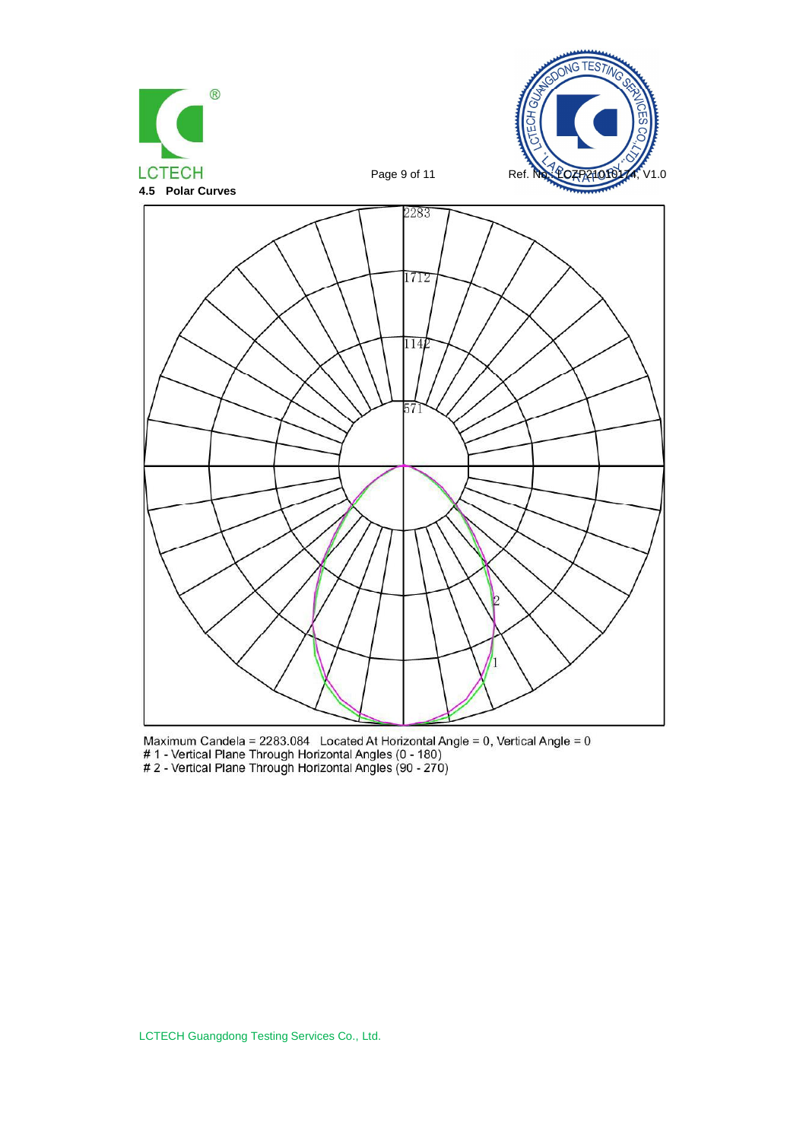

Maximum Candela = 2283.084 Located At Horizontal Angle = 0, Vertical Angle = 0<br>
# 1 - Vertical Plane Through Horizontal Angles (0 - 180)<br>
# 2 - Vertical Plane Through Horizontal Angles (90 - 270)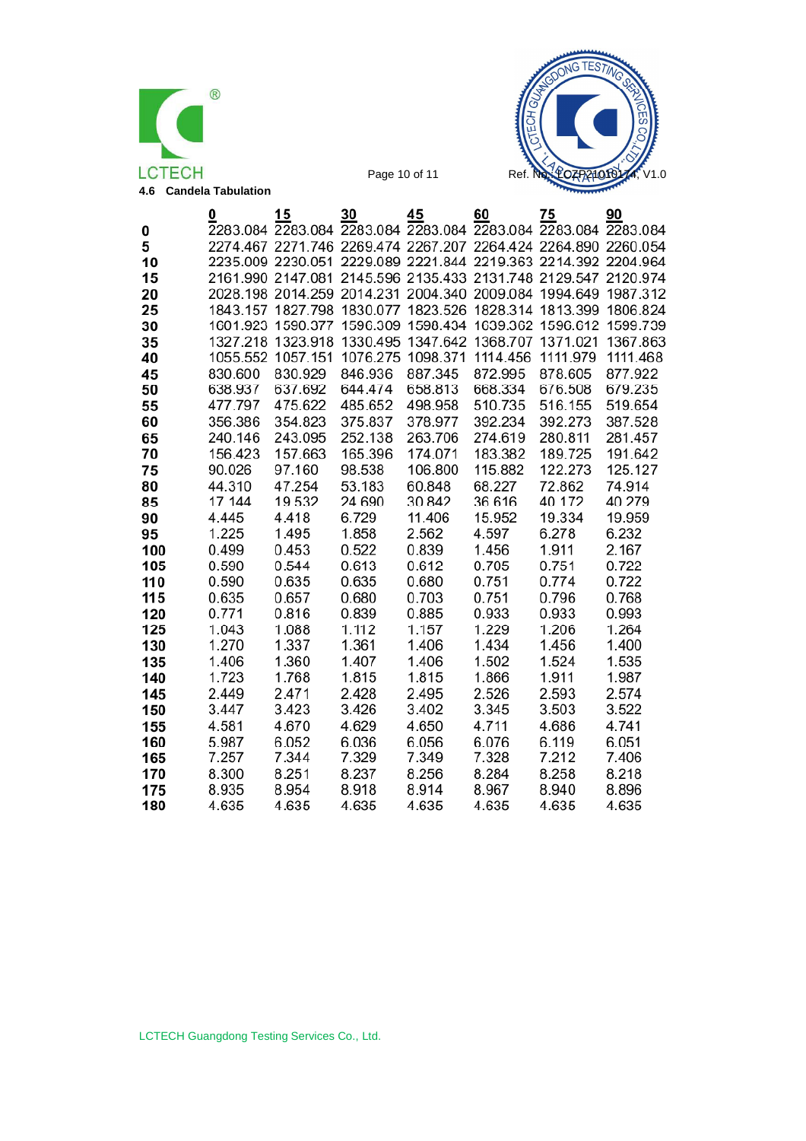



|     | 0       | 15                                                    | 30       | 45                | 60       | 75                                                             | 90       |
|-----|---------|-------------------------------------------------------|----------|-------------------|----------|----------------------------------------------------------------|----------|
| 0   |         | 2283.084 2283.084 2283.084 2283.084                   |          |                   |          | 2283.084 2283.084 2283.084                                     |          |
| 5   |         |                                                       |          |                   |          | 2274.467 2271.746 2269.474 2267.207 2264.424 2264.890 2260.054 |          |
| 10  |         |                                                       |          |                   |          | 2235.009 2230.051 2229.089 2221.844 2219.363 2214.392 2204.964 |          |
| 15  |         | 2161.990 2147.081                                     |          |                   |          | 2145.596 2135.433 2131.748 2129.547                            | 2120.974 |
| 20  |         | 2028.198 2014.259 2014.231 2004.340 2009.084 1994.649 |          |                   |          |                                                                | 1987.312 |
| 25  |         | 1843.157 1827.798                                     | 1830.077 | 1823.526          |          | 1828.314 1813.399                                              | 1806.824 |
| 30  |         | 1601.923 1590.377                                     | 1596.309 | 1598.434          | 1639.362 | 1596.612                                                       | 1599.739 |
| 35  |         | 1327.218 1323.918                                     | 1330.495 | 1347.642          | 1368.707 | 1371.021                                                       | 1367.863 |
| 40  |         | 1055.552 1057.151                                     |          | 1076.275 1098.371 | 1114.456 | 1111.979                                                       | 1111.468 |
| 45  | 830.600 | 830.929                                               | 846.936  | 887.345           | 872.995  | 878.605                                                        | 877.922  |
| 50  | 638.937 | 637.692                                               | 644.474  | 658.813           | 668.334  | 676.508                                                        | 679.235  |
| 55  | 477.797 | 475.622                                               | 485.652  | 498.958           | 510.735  | 516.155                                                        | 519.654  |
| 60  | 356.386 | 354.823                                               | 375.837  | 378.977           | 392.234  | 392.273                                                        | 387.528  |
| 65  | 240.146 | 243.095                                               | 252.138  | 263.706           | 274.619  | 280.811                                                        | 281.457  |
| 70  | 156.423 | 157.663                                               | 165.396  | 174.071           | 183.382  | 189.725                                                        | 191.642  |
| 75  | 90.026  | 97.160                                                | 98.538   | 106.800           | 115.882  | 122.273                                                        | 125.127  |
| 80  | 44.310  | 47.254                                                | 53.183   | 60.848            | 68.227   | 72.862                                                         | 74.914   |
| 85  | 17.144  | 19.532                                                | 24.690   | 30.842            | 36.616   | 40.172                                                         | 40.279   |
| 90  | 4.445   | 4.418                                                 | 6.729    | 11.406            | 15.952   | 19.334                                                         | 19.959   |
| 95  | 1.225   | 1.495                                                 | 1.858    | 2.562             | 4.597    | 6.278                                                          | 6.232    |
| 100 | 0.499   | 0.453                                                 | 0.522    | 0.839             | 1.456    | 1.911                                                          | 2.167    |
| 105 | 0.590   | 0.544                                                 | 0.613    | 0.612             | 0.705    | 0.751                                                          | 0.722    |
| 110 | 0.590   | 0.635                                                 | 0.635    | 0.680             | 0.751    | 0.774                                                          | 0.722    |
| 115 | 0.635   | 0.657                                                 | 0.680    | 0.703             | 0.751    | 0.796                                                          | 0.768    |
| 120 | 0.771   | 0.816                                                 | 0.839    | 0.885             | 0.933    | 0.933                                                          | 0.993    |
| 125 | 1.043   | 1.088                                                 | 1.112    | 1.157             | 1.229    | 1.206                                                          | 1.264    |
| 130 | 1.270   | 1.337                                                 | 1.361    | 1.406             | 1.434    | 1.456                                                          | 1.400    |
| 135 | 1.406   | 1.360                                                 | 1.407    | 1.406             | 1.502    | 1.524                                                          | 1.535    |
| 140 | 1.723   | 1.768                                                 | 1.815    | 1.815             | 1.866    | 1.911                                                          | 1.987    |
| 145 | 2.449   | 2.471                                                 | 2.428    | 2.495             | 2.526    | 2.593                                                          | 2.574    |
| 150 | 3.447   | 3.423                                                 | 3.426    | 3.402             | 3.345    | 3.503                                                          | 3.522    |
| 155 | 4.581   | 4.670                                                 | 4.629    | 4.650             | 4.711    | 4.686                                                          | 4.741    |
| 160 | 5.987   | 6.052                                                 | 6.036    | 6.056             | 6.076    | 6.119                                                          | 6.051    |
| 165 | 7.257   | 7.344                                                 | 7.329    | 7.349             | 7.328    | 7.212                                                          | 7.406    |
| 170 | 8.300   | 8.251                                                 | 8.237    | 8.256             | 8.284    | 8.258                                                          | 8.218    |
| 175 | 8.935   | 8.954                                                 | 8.918    | 8.914             | 8.967    | 8.940                                                          | 8.896    |
| 180 | 4.635   | 4.635                                                 | 4.635    | 4.635             | 4.635    | 4.635                                                          | 4.635    |